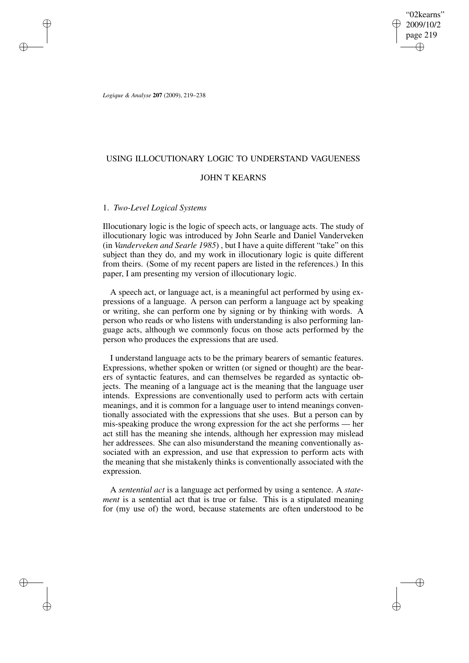"02kearns" 2009/10/2 page 219 ✐ ✐

✐

✐

*Logique & Analyse* **207** (2009), 219–238

✐

✐

✐

✐

## USING ILLOCUTIONARY LOGIC TO UNDERSTAND VAGUENESS

# JOHN T KEARNS

## 1. *Two-Level Logical Systems*

Illocutionary logic is the logic of speech acts, or language acts. The study of illocutionary logic was introduced by John Searle and Daniel Vanderveken (in *Vanderveken and Searle 1985*) , but I have a quite different "take" on this subject than they do, and my work in illocutionary logic is quite different from theirs. (Some of my recent papers are listed in the references.) In this paper, I am presenting my version of illocutionary logic.

A speech act, or language act, is a meaningful act performed by using expressions of a language. A person can perform a language act by speaking or writing, she can perform one by signing or by thinking with words. A person who reads or who listens with understanding is also performing language acts, although we commonly focus on those acts performed by the person who produces the expressions that are used.

I understand language acts to be the primary bearers of semantic features. Expressions, whether spoken or written (or signed or thought) are the bearers of syntactic features, and can themselves be regarded as syntactic objects. The meaning of a language act is the meaning that the language user intends. Expressions are conventionally used to perform acts with certain meanings, and it is common for a language user to intend meanings conventionally associated with the expressions that she uses. But a person can by mis-speaking produce the wrong expression for the act she performs — her act still has the meaning she intends, although her expression may mislead her addressees. She can also misunderstand the meaning conventionally associated with an expression, and use that expression to perform acts with the meaning that she mistakenly thinks is conventionally associated with the expression.

A *sentential act* is a language act performed by using a sentence. A *statement* is a sentential act that is true or false. This is a stipulated meaning for (my use of) the word, because statements are often understood to be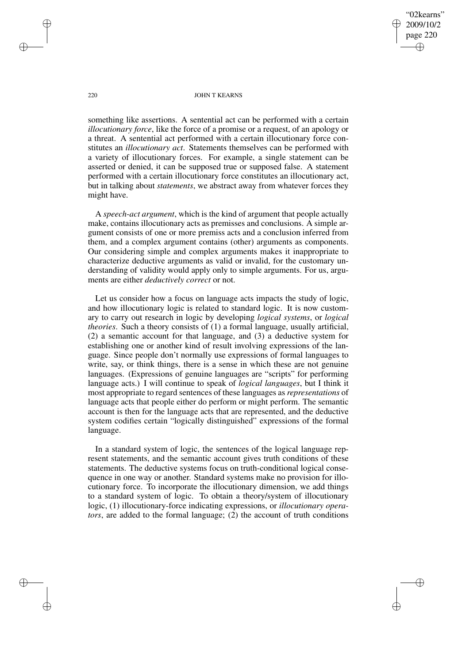"02kearns" 2009/10/2 page 220 ✐ ✐

✐

✐

### 220 JOHN T KEARNS

something like assertions. A sentential act can be performed with a certain *illocutionary force*, like the force of a promise or a request, of an apology or a threat. A sentential act performed with a certain illocutionary force constitutes an *illocutionary act*. Statements themselves can be performed with a variety of illocutionary forces. For example, a single statement can be asserted or denied, it can be supposed true or supposed false. A statement performed with a certain illocutionary force constitutes an illocutionary act, but in talking about *statements*, we abstract away from whatever forces they might have.

A *speech-act argument*, which is the kind of argument that people actually make, contains illocutionary acts as premisses and conclusions. A simple argument consists of one or more premiss acts and a conclusion inferred from them, and a complex argument contains (other) arguments as components. Our considering simple and complex arguments makes it inappropriate to characterize deductive arguments as valid or invalid, for the customary understanding of validity would apply only to simple arguments. For us, arguments are either *deductively correct* or not.

Let us consider how a focus on language acts impacts the study of logic, and how illocutionary logic is related to standard logic. It is now customary to carry out research in logic by developing *logical systems*, or *logical theories*. Such a theory consists of (1) a formal language, usually artificial, (2) a semantic account for that language, and (3) a deductive system for establishing one or another kind of result involving expressions of the language. Since people don't normally use expressions of formal languages to write, say, or think things, there is a sense in which these are not genuine languages. (Expressions of genuine languages are "scripts" for performing language acts.) I will continue to speak of *logical languages*, but I think it most appropriate to regard sentences of these languages as *representations* of language acts that people either do perform or might perform. The semantic account is then for the language acts that are represented, and the deductive system codifies certain "logically distinguished" expressions of the formal language.

In a standard system of logic, the sentences of the logical language represent statements, and the semantic account gives truth conditions of these statements. The deductive systems focus on truth-conditional logical consequence in one way or another. Standard systems make no provision for illocutionary force. To incorporate the illocutionary dimension, we add things to a standard system of logic. To obtain a theory/system of illocutionary logic, (1) illocutionary-force indicating expressions, or *illocutionary operators*, are added to the formal language; (2) the account of truth conditions

✐

✐

✐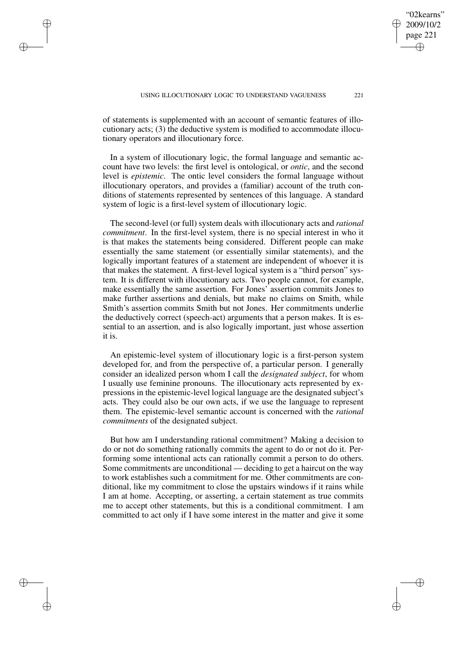of statements is supplemented with an account of semantic features of illocutionary acts; (3) the deductive system is modified to accommodate illocutionary operators and illocutionary force.

✐

✐

✐

✐

In a system of illocutionary logic, the formal language and semantic account have two levels: the first level is ontological, or *ontic*, and the second level is *epistemic*. The ontic level considers the formal language without illocutionary operators, and provides a (familiar) account of the truth conditions of statements represented by sentences of this language. A standard system of logic is a first-level system of illocutionary logic.

The second-level (or full) system deals with illocutionary acts and *rational commitment*. In the first-level system, there is no special interest in who it is that makes the statements being considered. Different people can make essentially the same statement (or essentially similar statements), and the logically important features of a statement are independent of whoever it is that makes the statement. A first-level logical system is a "third person" system. It is different with illocutionary acts. Two people cannot, for example, make essentially the same assertion. For Jones' assertion commits Jones to make further assertions and denials, but make no claims on Smith, while Smith's assertion commits Smith but not Jones. Her commitments underlie the deductively correct (speech-act) arguments that a person makes. It is essential to an assertion, and is also logically important, just whose assertion it is.

An epistemic-level system of illocutionary logic is a first-person system developed for, and from the perspective of, a particular person. I generally consider an idealized person whom I call the *designated subject*, for whom I usually use feminine pronouns. The illocutionary acts represented by expressions in the epistemic-level logical language are the designated subject's acts. They could also be our own acts, if we use the language to represent them. The epistemic-level semantic account is concerned with the *rational commitments* of the designated subject.

But how am I understanding rational commitment? Making a decision to do or not do something rationally commits the agent to do or not do it. Performing some intentional acts can rationally commit a person to do others. Some commitments are unconditional — deciding to get a haircut on the way to work establishes such a commitment for me. Other commitments are conditional, like my commitment to close the upstairs windows if it rains while I am at home. Accepting, or asserting, a certain statement as true commits me to accept other statements, but this is a conditional commitment. I am committed to act only if I have some interest in the matter and give it some

"02kearns" 2009/10/2 page 221

✐

✐

✐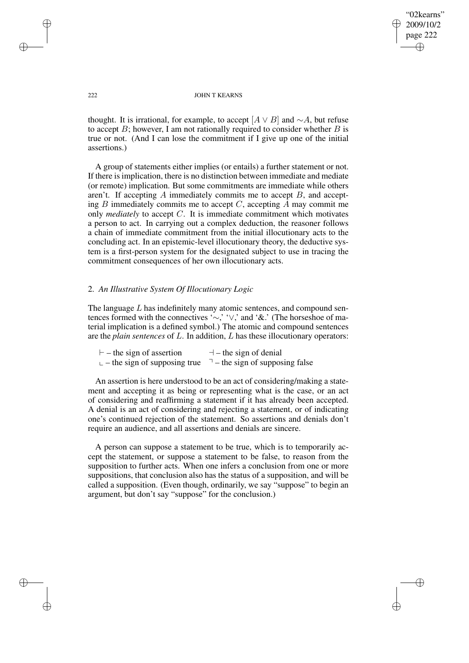"02kearns" 2009/10/2 page 222 ✐ ✐

✐

✐

## 222 JOHN T KEARNS

thought. It is irrational, for example, to accept [ $A \vee B$ ] and ∼A, but refuse to accept  $B$ ; however, I am not rationally required to consider whether  $B$  is true or not. (And I can lose the commitment if I give up one of the initial assertions.)

A group of statements either implies (or entails) a further statement or not. If there is implication, there is no distinction between immediate and mediate (or remote) implication. But some commitments are immediate while others aren't. If accepting  $A$  immediately commits me to accept  $B$ , and accepting  $B$  immediately commits me to accept  $C$ , accepting  $A$  may commit me only *mediately* to accept C. It is immediate commitment which motivates a person to act. In carrying out a complex deduction, the reasoner follows a chain of immediate commitment from the initial illocutionary acts to the concluding act. In an epistemic-level illocutionary theory, the deductive system is a first-person system for the designated subject to use in tracing the commitment consequences of her own illocutionary acts.

# 2. *An Illustrative System Of Illocutionary Logic*

The language  $L$  has indefinitely many atomic sentences, and compound sentences formed with the connectives '∼,' '∨,' and '&.' (The horseshoe of material implication is a defined symbol.) The atomic and compound sentences are the *plain sentences* of L. In addition, L has these illocutionary operators:

| $\vdash$ – the sign of assertion          | $-$ the sign of denial          |
|-------------------------------------------|---------------------------------|
| $\mathsf{L}$ – the sign of supposing true | $-$ the sign of supposing false |

An assertion is here understood to be an act of considering/making a statement and accepting it as being or representing what is the case, or an act of considering and reaffirming a statement if it has already been accepted. A denial is an act of considering and rejecting a statement, or of indicating one's continued rejection of the statement. So assertions and denials don't require an audience, and all assertions and denials are sincere.

A person can suppose a statement to be true, which is to temporarily accept the statement, or suppose a statement to be false, to reason from the supposition to further acts. When one infers a conclusion from one or more suppositions, that conclusion also has the status of a supposition, and will be called a supposition. (Even though, ordinarily, we say "suppose" to begin an argument, but don't say "suppose" for the conclusion.)

✐

✐

✐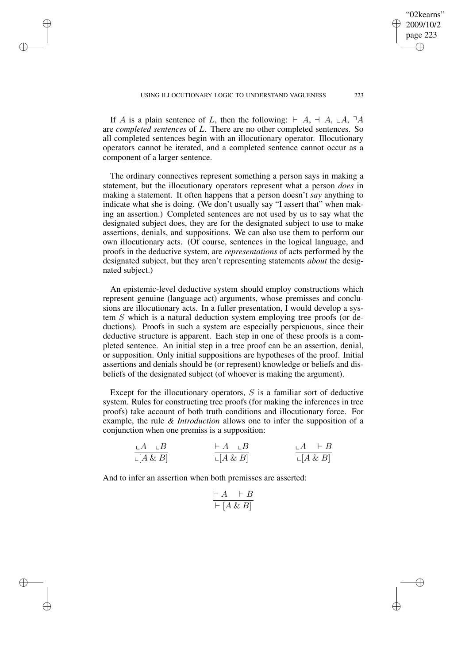If A is a plain sentence of L, then the following:  $\vdash A$ ,  $\vdash A$ ,  $\vdash A$ ,  $\lnot A$ are *completed sentences* of L. There are no other completed sentences. So all completed sentences begin with an illocutionary operator. Illocutionary operators cannot be iterated, and a completed sentence cannot occur as a component of a larger sentence.

✐

✐

✐

✐

The ordinary connectives represent something a person says in making a statement, but the illocutionary operators represent what a person *does* in making a statement. It often happens that a person doesn't *say* anything to indicate what she is doing. (We don't usually say "I assert that" when making an assertion.) Completed sentences are not used by us to say what the designated subject does, they are for the designated subject to use to make assertions, denials, and suppositions. We can also use them to perform our own illocutionary acts. (Of course, sentences in the logical language, and proofs in the deductive system, are *representations* of acts performed by the designated subject, but they aren't representing statements *about* the designated subject.)

An epistemic-level deductive system should employ constructions which represent genuine (language act) arguments, whose premisses and conclusions are illocutionary acts. In a fuller presentation, I would develop a system S which is a natural deduction system employing tree proofs (or deductions). Proofs in such a system are especially perspicuous, since their deductive structure is apparent. Each step in one of these proofs is a completed sentence. An initial step in a tree proof can be an assertion, denial, or supposition. Only initial suppositions are hypotheses of the proof. Initial assertions and denials should be (or represent) knowledge or beliefs and disbeliefs of the designated subject (of whoever is making the argument).

Except for the illocutionary operators,  $S$  is a familiar sort of deductive system. Rules for constructing tree proofs (for making the inferences in tree proofs) take account of both truth conditions and illocutionary force. For example, the rule *& Introduction* allows one to infer the supposition of a conjunction when one premiss is a supposition:

| $+A \perp B$             | $\vdash A \quad \vdash B$ | $A \vdash B$      |
|--------------------------|---------------------------|-------------------|
| $\lfloor A \& B \rfloor$ | $\lfloor A \& B \rfloor$  | $\sqcup [A \& B]$ |

And to infer an assertion when both premisses are asserted:

$$
\frac{\vdash A \quad \vdash B}{\vdash [A \& B]}
$$

"02kearns" 2009/10/2 page 223

✐

✐

✐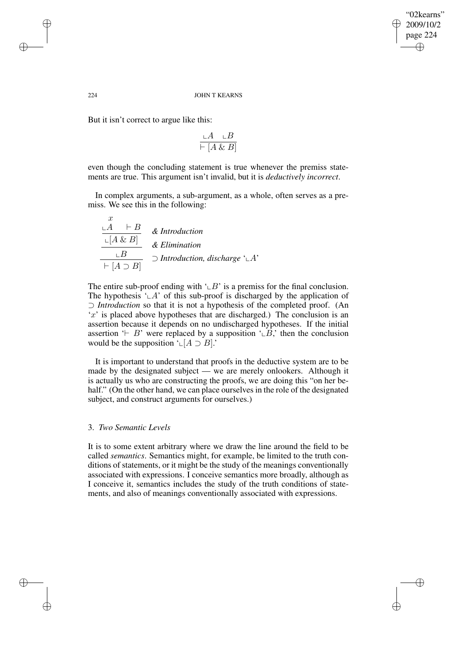✐

✐

## 224 JOHN T KEARNS

But it isn't correct to argue like this:

$$
\frac{\mathop{\llcorner} A \quad \mathop{\llcorner} B}{\vdash [A \& B]}
$$

even though the concluding statement is true whenever the premiss statements are true. This argument isn't invalid, but it is *deductively incorrect*.

In complex arguments, a sub-argument, as a whole, often serves as a premiss. We see this in the following:

$$
\frac{\overline{A} + B}{\overline{A} \times B} \quad \& Introduction
$$
\n
$$
\xrightarrow{L[A \& B]} \& Elimination
$$
\n
$$
\overline{A \cup B} \quad \Rightarrow Introduction, discharge \quad \angle A'
$$

The entire sub-proof ending with  $\angle B'$  is a premiss for the final conclusion. The hypothesis  $\mathcal{L}A'$  of this sub-proof is discharged by the application of ⊃ *Introduction* so that it is not a hypothesis of the completed proof. (An 'x' is placed above hypotheses that are discharged.) The conclusion is an assertion because it depends on no undischarged hypotheses. If the initial assertion ' $\vdash B$ ' were replaced by a supposition ' $\bot B$ ,' then the conclusion would be the supposition ' $\mathcal{L}[A \supset B]$ .'

It is important to understand that proofs in the deductive system are to be made by the designated subject — we are merely onlookers. Although it is actually us who are constructing the proofs, we are doing this "on her behalf." (On the other hand, we can place ourselves in the role of the designated subject, and construct arguments for ourselves.)

# 3. *Two Semantic Levels*

It is to some extent arbitrary where we draw the line around the field to be called *semantics*. Semantics might, for example, be limited to the truth conditions of statements, or it might be the study of the meanings conventionally associated with expressions. I conceive semantics more broadly, although as I conceive it, semantics includes the study of the truth conditions of statements, and also of meanings conventionally associated with expressions.

 $\boldsymbol{r}$ 

✐

✐

✐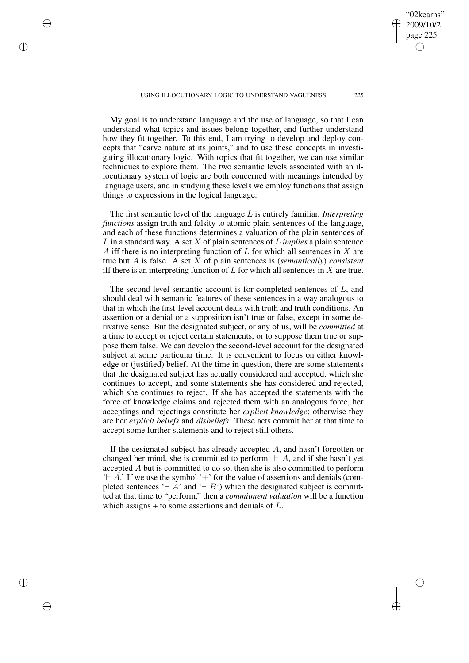### USING ILLOCUTIONARY LOGIC TO UNDERSTAND VAGUENESS 225

✐

✐

✐

✐

My goal is to understand language and the use of language, so that I can understand what topics and issues belong together, and further understand how they fit together. To this end, I am trying to develop and deploy concepts that "carve nature at its joints," and to use these concepts in investigating illocutionary logic. With topics that fit together, we can use similar techniques to explore them. The two semantic levels associated with an illocutionary system of logic are both concerned with meanings intended by language users, and in studying these levels we employ functions that assign things to expressions in the logical language.

The first semantic level of the language L is entirely familiar. *Interpreting functions* assign truth and falsity to atomic plain sentences of the language, and each of these functions determines a valuation of the plain sentences of L in a standard way. A set X of plain sentences of L *implies* a plain sentence A iff there is no interpreting function of L for which all sentences in X are true but A is false. A set X of plain sentences is (*semantically*) *consistent* iff there is an interpreting function of  $L$  for which all sentences in  $X$  are true.

The second-level semantic account is for completed sentences of L, and should deal with semantic features of these sentences in a way analogous to that in which the first-level account deals with truth and truth conditions. An assertion or a denial or a supposition isn't true or false, except in some derivative sense. But the designated subject, or any of us, will be *committed* at a time to accept or reject certain statements, or to suppose them true or suppose them false. We can develop the second-level account for the designated subject at some particular time. It is convenient to focus on either knowledge or (justified) belief. At the time in question, there are some statements that the designated subject has actually considered and accepted, which she continues to accept, and some statements she has considered and rejected, which she continues to reject. If she has accepted the statements with the force of knowledge claims and rejected them with an analogous force, her acceptings and rejectings constitute her *explicit knowledge*; otherwise they are her *explicit beliefs* and *disbeliefs*. These acts commit her at that time to accept some further statements and to reject still others.

If the designated subject has already accepted  $A$ , and hasn't forgotten or changed her mind, she is committed to perform:  $\vdash A$ , and if she hasn't yet accepted A but is committed to do so, then she is also committed to perform  $+A$ .' If we use the symbol '+' for the value of assertions and denials (completed sentences  $\vdash A'$  and  $\vdash B'$ ) which the designated subject is committed at that time to "perform," then a *commitment valuation* will be a function which assigns  $+$  to some assertions and denials of  $L$ .

"02kearns" 2009/10/2 page 225

✐

✐

✐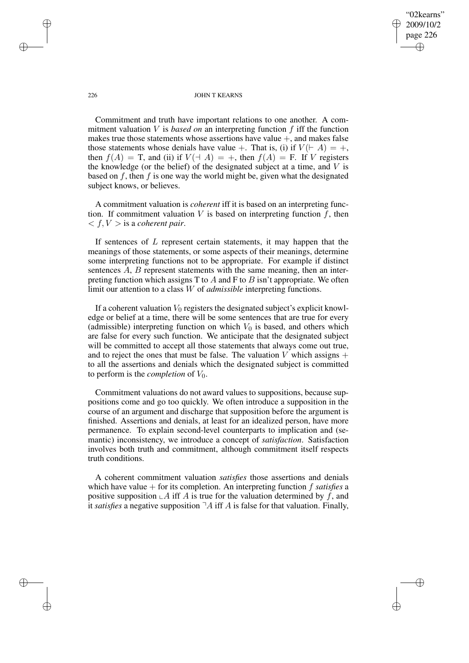"02kearns" 2009/10/2 page 226 ✐ ✐

✐

✐

### 226 JOHN T KEARNS

Commitment and truth have important relations to one another. A commitment valuation  $V$  is *based on* an interpreting function  $f$  iff the function makes true those statements whose assertions have value  $+$ , and makes false those statements whose denials have value +. That is, (i) if  $V(\vdash A) = +$ , then  $f(A) = T$ , and (ii) if  $V(\dashv A) = +$ , then  $f(A) = F$ . If V registers the knowledge (or the belief) of the designated subject at a time, and  $V$  is based on  $f$ , then  $f$  is one way the world might be, given what the designated subject knows, or believes.

A commitment valuation is *coherent* iff it is based on an interpreting function. If commitment valuation V is based on interpreting function  $f$ , then  $\langle f, V \rangle$  is a *coherent pair*.

If sentences of  $L$  represent certain statements, it may happen that the meanings of those statements, or some aspects of their meanings, determine some interpreting functions not to be appropriate. For example if distinct sentences A, B represent statements with the same meaning, then an interpreting function which assigns T to  $A$  and F to  $B$  isn't appropriate. We often limit our attention to a class W of *admissible* interpreting functions.

If a coherent valuation  $V_0$  registers the designated subject's explicit knowledge or belief at a time, there will be some sentences that are true for every (admissible) interpreting function on which  $V_0$  is based, and others which are false for every such function. We anticipate that the designated subject will be committed to accept all those statements that always come out true, and to reject the ones that must be false. The valuation V which assigns  $+$ to all the assertions and denials which the designated subject is committed to perform is the *completion* of  $V_0$ .

Commitment valuations do not award values to suppositions, because suppositions come and go too quickly. We often introduce a supposition in the course of an argument and discharge that supposition before the argument is finished. Assertions and denials, at least for an idealized person, have more permanence. To explain second-level counterparts to implication and (semantic) inconsistency, we introduce a concept of *satisfaction*. Satisfaction involves both truth and commitment, although commitment itself respects truth conditions.

A coherent commitment valuation *satisfies* those assertions and denials which have value + for its completion. An interpreting function f *satisfies* a positive supposition  $\mathcal{A}$  iff A is true for the valuation determined by f, and it *satisfies* a negative supposition  $\neg A$  iff A is false for that valuation. Finally,

✐

✐

✐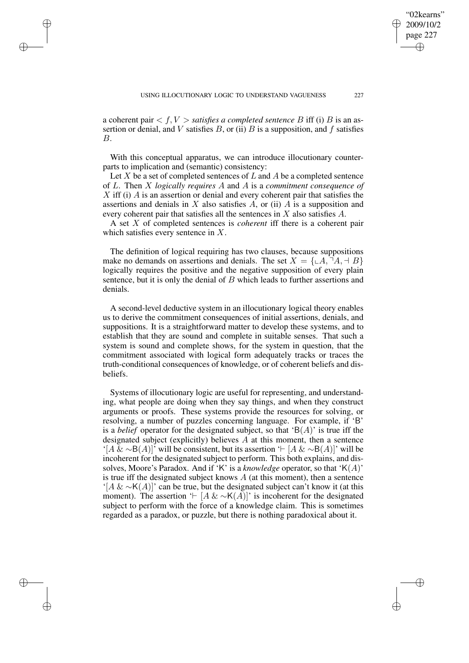a coherent pair  $\langle f, V \rangle$  *satisfies a completed sentence* B iff (i) B is an assertion or denial, and V satisfies  $B$ , or (ii)  $B$  is a supposition, and f satisfies B.

✐

✐

✐

✐

With this conceptual apparatus, we can introduce illocutionary counterparts to implication and (semantic) consistency:

Let X be a set of completed sentences of  $L$  and  $A$  be a completed sentence of L. Then X *logically requires* A and A is a *commitment consequence of*  $X$  iff (i)  $\overline{A}$  is an assertion or denial and every coherent pair that satisfies the assertions and denials in  $X$  also satisfies  $A$ , or (ii)  $A$  is a supposition and every coherent pair that satisfies all the sentences in X also satisfies A.

A set X of completed sentences is *coherent* iff there is a coherent pair which satisfies every sentence in X.

The definition of logical requiring has two clauses, because suppositions make no demands on assertions and denials. The set  $X = \{ \Box A, \Box A, \Box B \}$ logically requires the positive and the negative supposition of every plain sentence, but it is only the denial of  $B$  which leads to further assertions and denials.

A second-level deductive system in an illocutionary logical theory enables us to derive the commitment consequences of initial assertions, denials, and suppositions. It is a straightforward matter to develop these systems, and to establish that they are sound and complete in suitable senses. That such a system is sound and complete shows, for the system in question, that the commitment associated with logical form adequately tracks or traces the truth-conditional consequences of knowledge, or of coherent beliefs and disbeliefs.

Systems of illocutionary logic are useful for representing, and understanding, what people are doing when they say things, and when they construct arguments or proofs. These systems provide the resources for solving, or resolving, a number of puzzles concerning language. For example, if 'B' is a *belief* operator for the designated subject, so that  $B(A)$  is true iff the designated subject (explicitly) believes  $A$  at this moment, then a sentence '[A & ∼B(A)]' will be consistent, but its assertion ' $\vdash$  [A & ∼B(A)]' will be incoherent for the designated subject to perform. This both explains, and dissolves, Moore's Paradox. And if 'K' is a *knowledge* operator, so that 'K(A)' is true iff the designated subject knows  $A$  (at this moment), then a sentence '[A & ∼K(A)]' can be true, but the designated subject can't know it (at this moment). The assertion ' $\vdash$  [A & ∼K(A)]' is incoherent for the designated subject to perform with the force of a knowledge claim. This is sometimes regarded as a paradox, or puzzle, but there is nothing paradoxical about it.

"02kearns" 2009/10/2 page 227

✐

✐

✐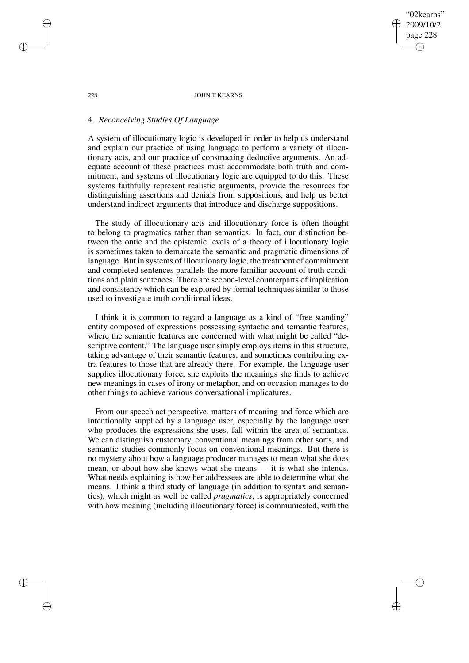## "02kearns" 2009/10/2 page 228 ✐ ✐

✐

✐

### 228 JOHN T KEARNS

# 4. *Reconceiving Studies Of Language*

A system of illocutionary logic is developed in order to help us understand and explain our practice of using language to perform a variety of illocutionary acts, and our practice of constructing deductive arguments. An adequate account of these practices must accommodate both truth and commitment, and systems of illocutionary logic are equipped to do this. These systems faithfully represent realistic arguments, provide the resources for distinguishing assertions and denials from suppositions, and help us better understand indirect arguments that introduce and discharge suppositions.

The study of illocutionary acts and illocutionary force is often thought to belong to pragmatics rather than semantics. In fact, our distinction between the ontic and the epistemic levels of a theory of illocutionary logic is sometimes taken to demarcate the semantic and pragmatic dimensions of language. But in systems of illocutionary logic, the treatment of commitment and completed sentences parallels the more familiar account of truth conditions and plain sentences. There are second-level counterparts of implication and consistency which can be explored by formal techniques similar to those used to investigate truth conditional ideas.

I think it is common to regard a language as a kind of "free standing" entity composed of expressions possessing syntactic and semantic features, where the semantic features are concerned with what might be called "descriptive content." The language user simply employs items in this structure, taking advantage of their semantic features, and sometimes contributing extra features to those that are already there. For example, the language user supplies illocutionary force, she exploits the meanings she finds to achieve new meanings in cases of irony or metaphor, and on occasion manages to do other things to achieve various conversational implicatures.

From our speech act perspective, matters of meaning and force which are intentionally supplied by a language user, especially by the language user who produces the expressions she uses, fall within the area of semantics. We can distinguish customary, conventional meanings from other sorts, and semantic studies commonly focus on conventional meanings. But there is no mystery about how a language producer manages to mean what she does mean, or about how she knows what she means — it is what she intends. What needs explaining is how her addressees are able to determine what she means. I think a third study of language (in addition to syntax and semantics), which might as well be called *pragmatics*, is appropriately concerned with how meaning (including illocutionary force) is communicated, with the

✐

✐

✐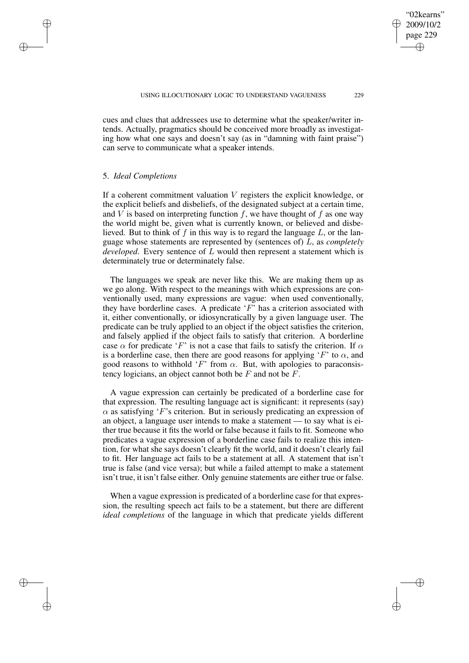cues and clues that addressees use to determine what the speaker/writer intends. Actually, pragmatics should be conceived more broadly as investigating how what one says and doesn't say (as in "damning with faint praise") can serve to communicate what a speaker intends.

## 5. *Ideal Completions*

✐

✐

✐

✐

If a coherent commitment valuation  $V$  registers the explicit knowledge, or the explicit beliefs and disbeliefs, of the designated subject at a certain time, and V is based on interpreting function f, we have thought of f as one way the world might be, given what is currently known, or believed and disbelieved. But to think of  $f$  in this way is to regard the language  $L$ , or the language whose statements are represented by (sentences of) L, as *completely developed*. Every sentence of L would then represent a statement which is determinately true or determinately false.

The languages we speak are never like this. We are making them up as we go along. With respect to the meanings with which expressions are conventionally used, many expressions are vague: when used conventionally, they have borderline cases. A predicate  $F'$  has a criterion associated with it, either conventionally, or idiosyncratically by a given language user. The predicate can be truly applied to an object if the object satisfies the criterion, and falsely applied if the object fails to satisfy that criterion. A borderline case  $\alpha$  for predicate 'F' is not a case that fails to satisfy the criterion. If  $\alpha$ is a borderline case, then there are good reasons for applying 'F' to  $\alpha$ , and good reasons to withhold 'F' from  $\alpha$ . But, with apologies to paraconsistency logicians, an object cannot both be  $F$  and not be  $F$ .

A vague expression can certainly be predicated of a borderline case for that expression. The resulting language act is significant: it represents (say)  $\alpha$  as satisfying 'F's criterion. But in seriously predicating an expression of an object, a language user intends to make a statement — to say what is either true because it fits the world or false because it fails to fit. Someone who predicates a vague expression of a borderline case fails to realize this intention, for what she says doesn't clearly fit the world, and it doesn't clearly fail to fit. Her language act fails to be a statement at all. A statement that isn't true is false (and vice versa); but while a failed attempt to make a statement isn't true, it isn't false either. Only genuine statements are either true or false.

When a vague expression is predicated of a borderline case for that expression, the resulting speech act fails to be a statement, but there are different *ideal completions* of the language in which that predicate yields different

"02kearns" 2009/10/2 page 229

✐

✐

✐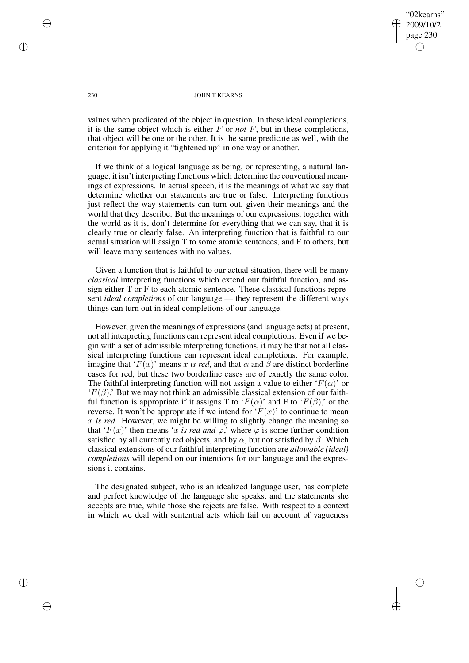## "02kearns" 2009/10/2 page 230 ✐ ✐

✐

✐

### 230 JOHN T KEARNS

values when predicated of the object in question. In these ideal completions, it is the same object which is either  $F$  or *not*  $F$ , but in these completions, that object will be one or the other. It is the same predicate as well, with the criterion for applying it "tightened up" in one way or another.

If we think of a logical language as being, or representing, a natural language, it isn't interpreting functions which determine the conventional meanings of expressions. In actual speech, it is the meanings of what we say that determine whether our statements are true or false. Interpreting functions just reflect the way statements can turn out, given their meanings and the world that they describe. But the meanings of our expressions, together with the world as it is, don't determine for everything that we can say, that it is clearly true or clearly false. An interpreting function that is faithful to our actual situation will assign T to some atomic sentences, and F to others, but will leave many sentences with no values.

Given a function that is faithful to our actual situation, there will be many *classical* interpreting functions which extend our faithful function, and assign either T or F to each atomic sentence. These classical functions represent *ideal completions* of our language — they represent the different ways things can turn out in ideal completions of our language.

However, given the meanings of expressions(and language acts) at present, not all interpreting functions can represent ideal completions. Even if we begin with a set of admissible interpreting functions, it may be that not all classical interpreting functions can represent ideal completions. For example, imagine that ' $F(x)$ ' means x is red, and that  $\alpha$  and  $\beta$  are distinct borderline cases for red, but these two borderline cases are of exactly the same color. The faithful interpreting function will not assign a value to either ' $F(\alpha)$ ' or  $F(\beta)$ .' But we may not think an admissible classical extension of our faithful function is appropriate if it assigns T to ' $F(\alpha)$ ' and F to ' $F(\beta)$ ,' or the reverse. It won't be appropriate if we intend for ' $F(x)$ ' to continue to mean x *is red*. However, we might be willing to slightly change the meaning so that ' $F(x)$ ' then means 'x is red and  $\varphi$ ,' where  $\varphi$  is some further condition satisfied by all currently red objects, and by  $\alpha$ , but not satisfied by  $\beta$ . Which classical extensions of our faithful interpreting function are *allowable (ideal) completions* will depend on our intentions for our language and the expressions it contains.

The designated subject, who is an idealized language user, has complete and perfect knowledge of the language she speaks, and the statements she accepts are true, while those she rejects are false. With respect to a context in which we deal with sentential acts which fail on account of vagueness

✐

✐

✐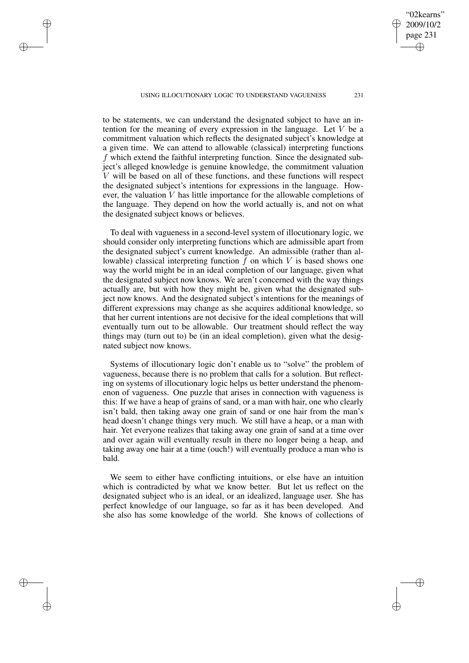USING ILLOCUTIONARY LOGIC TO UNDERSTAND VAGUENESS 231

✐

✐

✐

✐

to be statements, we can understand the designated subject to have an intention for the meaning of every expression in the language. Let V be a commitment valuation which reflects the designated subject's knowledge at a given time. We can attend to allowable (classical) interpreting functions f which extend the faithful interpreting function. Since the designated subject's alleged knowledge is genuine knowledge, the commitment valuation V will be based on all of these functions, and these functions will respect the designated subject's intentions for expressions in the language. However, the valuation V has little importance for the allowable completions of the language. They depend on how the world actually is, and not on what the designated subject knows or believes.

To deal with vagueness in a second-level system of illocutionary logic, we should consider only interpreting functions which are admissible apart from the designated subject's current knowledge. An admissible (rather than allowable) classical interpreting function  $f$  on which  $V$  is based shows one way the world might be in an ideal completion of our language, given what the designated subject now knows. We aren't concerned with the way things actually are, but with how they might be, given what the designated subject now knows. And the designated subject's intentions for the meanings of different expressions may change as she acquires additional knowledge, so that her current intentions are not decisive for the ideal completions that will eventually turn out to be allowable. Our treatment should reflect the way things may (turn out to) be (in an ideal completion), given what the designated subject now knows.

Systems of illocutionary logic don't enable us to "solve" the problem of vagueness, because there is no problem that calls for a solution. But reflecting on systems of illocutionary logic helps us better understand the phenomenon of vagueness. One puzzle that arises in connection with vagueness is this: If we have a heap of grains of sand, or a man with hair, one who clearly isn't bald, then taking away one grain of sand or one hair from the man's head doesn't change things very much. We still have a heap, or a man with hair. Yet everyone realizes that taking away one grain of sand at a time over and over again will eventually result in there no longer being a heap, and taking away one hair at a time (ouch!) will eventually produce a man who is bald.

We seem to either have conflicting intuitions, or else have an intuition which is contradicted by what we know better. But let us reflect on the designated subject who is an ideal, or an idealized, language user. She has perfect knowledge of our language, so far as it has been developed. And she also has some knowledge of the world. She knows of collections of

"02kearns" 2009/10/2 page 231

✐

✐

✐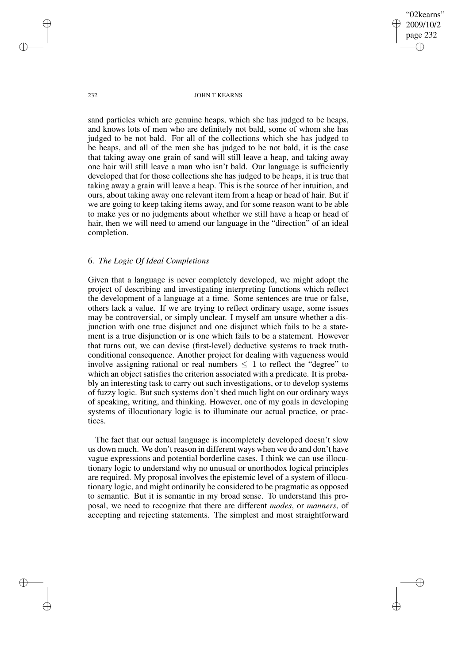"02kearns" 2009/10/2 page 232 ✐ ✐

✐

✐

232 JOHN T KEARNS

sand particles which are genuine heaps, which she has judged to be heaps, and knows lots of men who are definitely not bald, some of whom she has judged to be not bald. For all of the collections which she has judged to be heaps, and all of the men she has judged to be not bald, it is the case that taking away one grain of sand will still leave a heap, and taking away one hair will still leave a man who isn't bald. Our language is sufficiently developed that for those collections she has judged to be heaps, it is true that taking away a grain will leave a heap. This is the source of her intuition, and ours, about taking away one relevant item from a heap or head of hair. But if we are going to keep taking items away, and for some reason want to be able to make yes or no judgments about whether we still have a heap or head of hair, then we will need to amend our language in the "direction" of an ideal completion.

## 6. *The Logic Of Ideal Completions*

Given that a language is never completely developed, we might adopt the project of describing and investigating interpreting functions which reflect the development of a language at a time. Some sentences are true or false, others lack a value. If we are trying to reflect ordinary usage, some issues may be controversial, or simply unclear. I myself am unsure whether a disjunction with one true disjunct and one disjunct which fails to be a statement is a true disjunction or is one which fails to be a statement. However that turns out, we can devise (first-level) deductive systems to track truthconditional consequence. Another project for dealing with vagueness would involve assigning rational or real numbers  $\leq 1$  to reflect the "degree" to which an object satisfies the criterion associated with a predicate. It is probably an interesting task to carry out such investigations, or to develop systems of fuzzy logic. But such systems don't shed much light on our ordinary ways of speaking, writing, and thinking. However, one of my goals in developing systems of illocutionary logic is to illuminate our actual practice, or practices.

The fact that our actual language is incompletely developed doesn't slow us down much. We don't reason in different ways when we do and don't have vague expressions and potential borderline cases. I think we can use illocutionary logic to understand why no unusual or unorthodox logical principles are required. My proposal involves the epistemic level of a system of illocutionary logic, and might ordinarily be considered to be pragmatic as opposed to semantic. But it is semantic in my broad sense. To understand this proposal, we need to recognize that there are different *modes*, or *manners*, of accepting and rejecting statements. The simplest and most straightforward

✐

✐

✐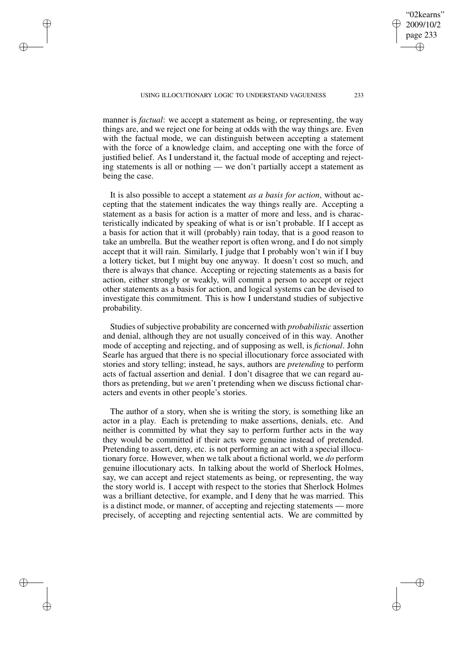USING ILLOCUTIONARY LOGIC TO UNDERSTAND VAGUENESS 233

✐

✐

✐

✐

manner is *factual*: we accept a statement as being, or representing, the way things are, and we reject one for being at odds with the way things are. Even with the factual mode, we can distinguish between accepting a statement with the force of a knowledge claim, and accepting one with the force of justified belief. As I understand it, the factual mode of accepting and rejecting statements is all or nothing — we don't partially accept a statement as being the case.

It is also possible to accept a statement *as a basis for action*, without accepting that the statement indicates the way things really are. Accepting a statement as a basis for action is a matter of more and less, and is characteristically indicated by speaking of what is or isn't probable. If I accept as a basis for action that it will (probably) rain today, that is a good reason to take an umbrella. But the weather report is often wrong, and I do not simply accept that it will rain. Similarly, I judge that I probably won't win if I buy a lottery ticket, but I might buy one anyway. It doesn't cost so much, and there is always that chance. Accepting or rejecting statements as a basis for action, either strongly or weakly, will commit a person to accept or reject other statements as a basis for action, and logical systems can be devised to investigate this commitment. This is how I understand studies of subjective probability.

Studies of subjective probability are concerned with *probabilistic* assertion and denial, although they are not usually conceived of in this way. Another mode of accepting and rejecting, and of supposing as well, is *fictional*. John Searle has argued that there is no special illocutionary force associated with stories and story telling; instead, he says, authors are *pretending* to perform acts of factual assertion and denial. I don't disagree that we can regard authors as pretending, but *we* aren't pretending when we discuss fictional characters and events in other people's stories.

The author of a story, when she is writing the story, is something like an actor in a play. Each is pretending to make assertions, denials, etc. And neither is committed by what they say to perform further acts in the way they would be committed if their acts were genuine instead of pretended. Pretending to assert, deny, etc. is not performing an act with a special illocutionary force. However, when we talk about a fictional world, we *do* perform genuine illocutionary acts. In talking about the world of Sherlock Holmes, say, we can accept and reject statements as being, or representing, the way the story world is. I accept with respect to the stories that Sherlock Holmes was a brilliant detective, for example, and I deny that he was married. This is a distinct mode, or manner, of accepting and rejecting statements — more precisely, of accepting and rejecting sentential acts. We are committed by

"02kearns" 2009/10/2 page 233

✐

✐

✐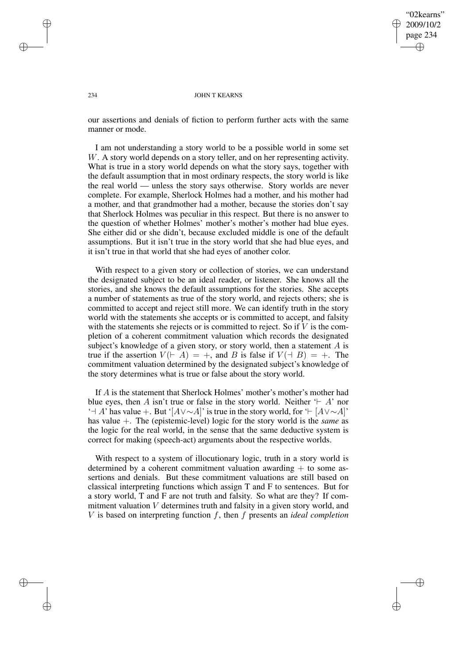"02kearns" 2009/10/2 page 234 ✐ ✐

✐

✐

### 234 JOHN T KEARNS

our assertions and denials of fiction to perform further acts with the same manner or mode.

I am not understanding a story world to be a possible world in some set W. A story world depends on a story teller, and on her representing activity. What is true in a story world depends on what the story says, together with the default assumption that in most ordinary respects, the story world is like the real world — unless the story says otherwise. Story worlds are never complete. For example, Sherlock Holmes had a mother, and his mother had a mother, and that grandmother had a mother, because the stories don't say that Sherlock Holmes was peculiar in this respect. But there is no answer to the question of whether Holmes' mother's mother's mother had blue eyes. She either did or she didn't, because excluded middle is one of the default assumptions. But it isn't true in the story world that she had blue eyes, and it isn't true in that world that she had eyes of another color.

With respect to a given story or collection of stories, we can understand the designated subject to be an ideal reader, or listener. She knows all the stories, and she knows the default assumptions for the stories. She accepts a number of statements as true of the story world, and rejects others; she is committed to accept and reject still more. We can identify truth in the story world with the statements she accepts or is committed to accept, and falsity with the statements she rejects or is committed to reject. So if  $V$  is the completion of a coherent commitment valuation which records the designated subject's knowledge of a given story, or story world, then a statement A is true if the assertion  $V(\vdash A) = +$ , and B is false if  $V(\vdash B) = +$ . The commitment valuation determined by the designated subject's knowledge of the story determines what is true or false about the story world.

If A is the statement that Sherlock Holmes' mother's mother's mother had blue eyes, then A isn't true or false in the story world. Neither  $\vdash A'$  nor '<sup>-</sup>+ A' has value +. But '[ $A \vee \sim A$ ]' is true in the story world, for ' $\vdash [A \vee \sim A]$ ' has value +. The (epistemic-level) logic for the story world is the *same* as the logic for the real world, in the sense that the same deductive system is correct for making (speech-act) arguments about the respective worlds.

With respect to a system of illocutionary logic, truth in a story world is determined by a coherent commitment valuation awarding  $+$  to some assertions and denials. But these commitment valuations are still based on classical interpreting functions which assign T and F to sentences. But for a story world, T and F are not truth and falsity. So what are they? If commitment valuation V determines truth and falsity in a given story world, and V is based on interpreting function f, then f presents an *ideal completion*

✐

✐

✐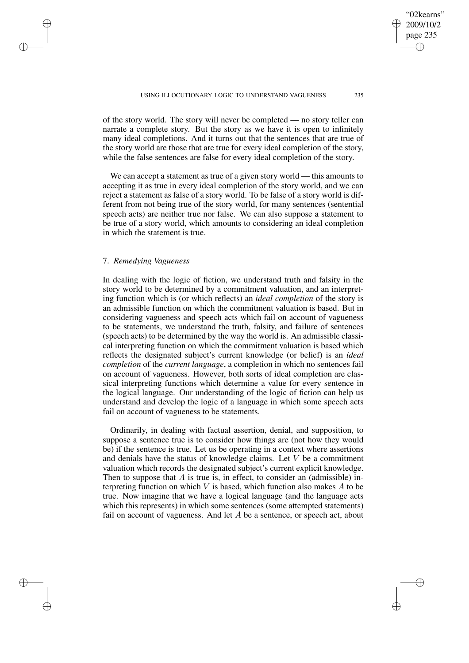of the story world. The story will never be completed — no story teller can narrate a complete story. But the story as we have it is open to infinitely many ideal completions. And it turns out that the sentences that are true of the story world are those that are true for every ideal completion of the story, while the false sentences are false for every ideal completion of the story.

We can accept a statement as true of a given story world — this amounts to accepting it as true in every ideal completion of the story world, and we can reject a statement as false of a story world. To be false of a story world is different from not being true of the story world, for many sentences (sentential speech acts) are neither true nor false. We can also suppose a statement to be true of a story world, which amounts to considering an ideal completion in which the statement is true.

## 7. *Remedying Vagueness*

✐

✐

✐

✐

In dealing with the logic of fiction, we understand truth and falsity in the story world to be determined by a commitment valuation, and an interpreting function which is (or which reflects) an *ideal completion* of the story is an admissible function on which the commitment valuation is based. But in considering vagueness and speech acts which fail on account of vagueness to be statements, we understand the truth, falsity, and failure of sentences (speech acts) to be determined by the way the world is. An admissible classical interpreting function on which the commitment valuation is based which reflects the designated subject's current knowledge (or belief) is an *ideal completion* of the *current language*, a completion in which no sentences fail on account of vagueness. However, both sorts of ideal completion are classical interpreting functions which determine a value for every sentence in the logical language. Our understanding of the logic of fiction can help us understand and develop the logic of a language in which some speech acts fail on account of vagueness to be statements.

Ordinarily, in dealing with factual assertion, denial, and supposition, to suppose a sentence true is to consider how things are (not how they would be) if the sentence is true. Let us be operating in a context where assertions and denials have the status of knowledge claims. Let  $V$  be a commitment valuation which records the designated subject's current explicit knowledge. Then to suppose that  $A$  is true is, in effect, to consider an (admissible) interpreting function on which  $V$  is based, which function also makes  $A$  to be true. Now imagine that we have a logical language (and the language acts which this represents) in which some sentences (some attempted statements) fail on account of vagueness. And let  $A$  be a sentence, or speech act, about

"02kearns" 2009/10/2 page 235

✐

✐

✐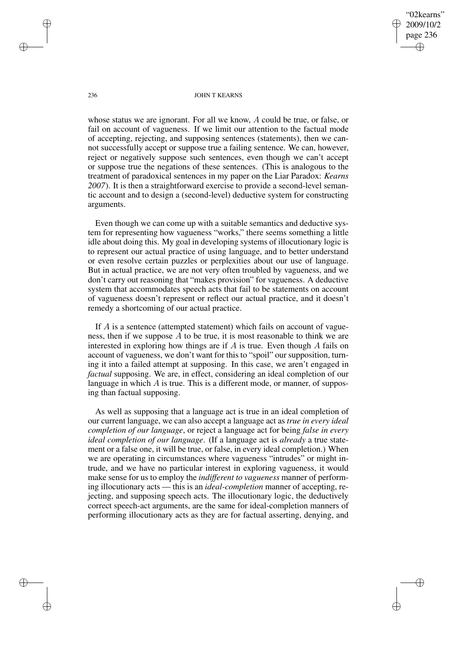"02kearns" 2009/10/2 page 236 ✐ ✐

✐

✐

### 236 JOHN T KEARNS

whose status we are ignorant. For all we know, A could be true, or false, or fail on account of vagueness. If we limit our attention to the factual mode of accepting, rejecting, and supposing sentences (statements), then we cannot successfully accept or suppose true a failing sentence. We can, however, reject or negatively suppose such sentences, even though we can't accept or suppose true the negations of these sentences. (This is analogous to the treatment of paradoxical sentences in my paper on the Liar Paradox: *Kearns 2007*). It is then a straightforward exercise to provide a second-level semantic account and to design a (second-level) deductive system for constructing arguments.

Even though we can come up with a suitable semantics and deductive system for representing how vagueness "works," there seems something a little idle about doing this. My goal in developing systems of illocutionary logic is to represent our actual practice of using language, and to better understand or even resolve certain puzzles or perplexities about our use of language. But in actual practice, we are not very often troubled by vagueness, and we don't carry out reasoning that "makes provision" for vagueness. A deductive system that accommodates speech acts that fail to be statements on account of vagueness doesn't represent or reflect our actual practice, and it doesn't remedy a shortcoming of our actual practice.

If A is a sentence (attempted statement) which fails on account of vagueness, then if we suppose  $\overline{A}$  to be true, it is most reasonable to think we are interested in exploring how things are if  $A$  is true. Even though  $A$  fails on account of vagueness, we don't want for this to "spoil" our supposition, turning it into a failed attempt at supposing. In this case, we aren't engaged in *factual* supposing. We are, in effect, considering an ideal completion of our language in which  $A$  is true. This is a different mode, or manner, of supposing than factual supposing.

As well as supposing that a language act is true in an ideal completion of our current language, we can also accept a language act as *true in every ideal completion of our language*, or reject a language act for being *false in every ideal completion of our language*. (If a language act is *already* a true statement or a false one, it will be true, or false, in every ideal completion.) When we are operating in circumstances where vagueness "intrudes" or might intrude, and we have no particular interest in exploring vagueness, it would make sense for us to employ the *indifferent to vagueness* manner of performing illocutionary acts — this is an *ideal-completion* manner of accepting, rejecting, and supposing speech acts. The illocutionary logic, the deductively correct speech-act arguments, are the same for ideal-completion manners of performing illocutionary acts as they are for factual asserting, denying, and

✐

✐

✐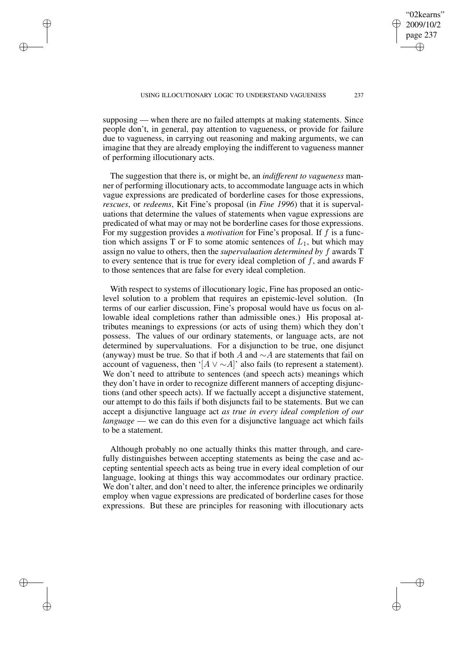"02kearns" 2009/10/2 page 237

✐

✐

✐

✐

supposing — when there are no failed attempts at making statements. Since people don't, in general, pay attention to vagueness, or provide for failure due to vagueness, in carrying out reasoning and making arguments, we can imagine that they are already employing the indifferent to vagueness manner of performing illocutionary acts.

✐

✐

✐

✐

The suggestion that there is, or might be, an *indifferent to vagueness* manner of performing illocutionary acts, to accommodate language acts in which vague expressions are predicated of borderline cases for those expressions, *rescues*, or *redeems*, Kit Fine's proposal (in *Fine 1996*) that it is supervaluations that determine the values of statements when vague expressions are predicated of what may or may not be borderline cases for those expressions. For my suggestion provides a *motivation* for Fine's proposal. If f is a function which assigns T or F to some atomic sentences of  $L_1$ , but which may assign no value to others, then the *supervaluation determined by* f awards T to every sentence that is true for every ideal completion of  $f$ , and awards  $F$ to those sentences that are false for every ideal completion.

With respect to systems of illocutionary logic. Fine has proposed an onticlevel solution to a problem that requires an epistemic-level solution. (In terms of our earlier discussion, Fine's proposal would have us focus on allowable ideal completions rather than admissible ones.) His proposal attributes meanings to expressions (or acts of using them) which they don't possess. The values of our ordinary statements, or language acts, are not determined by supervaluations. For a disjunction to be true, one disjunct (anyway) must be true. So that if both A and  $\sim$ A are statements that fail on account of vagueness, then '[ $A \vee \sim A$ ]' also fails (to represent a statement). We don't need to attribute to sentences (and speech acts) meanings which they don't have in order to recognize different manners of accepting disjunctions (and other speech acts). If we factually accept a disjunctive statement, our attempt to do this fails if both disjuncts fail to be statements. But we can accept a disjunctive language act *as true in every ideal completion of our language* — we can do this even for a disjunctive language act which fails to be a statement.

Although probably no one actually thinks this matter through, and carefully distinguishes between accepting statements as being the case and accepting sentential speech acts as being true in every ideal completion of our language, looking at things this way accommodates our ordinary practice. We don't alter, and don't need to alter, the inference principles we ordinarily employ when vague expressions are predicated of borderline cases for those expressions. But these are principles for reasoning with illocutionary acts